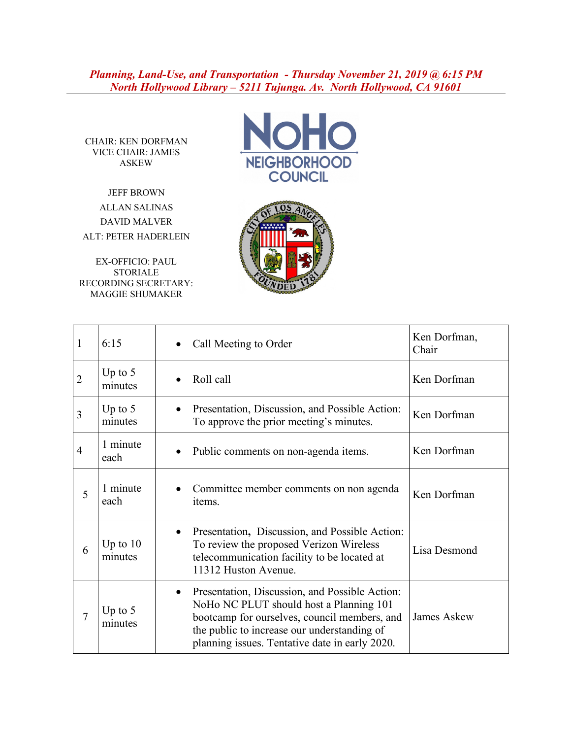*Planning, Land-Use, and Transportation - Thursday November 21, 2019 @ 6:15 PM North Hollywood Library – 5211 Tujunga. Av. North Hollywood, CA 91601*

CHAIR: KEN DORFMAN VICE CHAIR: JAMES ASKEW

JEFF BROWN ALLAN SALINAS DAVID MALVER ALT: PETER HADERLEIN

EX-OFFICIO: PAUL STORIALE RECORDING SECRETARY: MAGGIE SHUMAKER





| $\mathbf{1}$   | 6:15                  | Call Meeting to Order                                                                                                                                                                                                                      | Ken Dorfman,<br>Chair |
|----------------|-----------------------|--------------------------------------------------------------------------------------------------------------------------------------------------------------------------------------------------------------------------------------------|-----------------------|
| $\overline{2}$ | Up to $5$<br>minutes  | Roll call                                                                                                                                                                                                                                  | Ken Dorfman           |
| $\overline{3}$ | Up to $5$<br>minutes  | Presentation, Discussion, and Possible Action:<br>To approve the prior meeting's minutes.                                                                                                                                                  | Ken Dorfman           |
| $\overline{4}$ | 1 minute<br>each      | Public comments on non-agenda items.<br>$\bullet$                                                                                                                                                                                          | Ken Dorfman           |
| 5              | 1 minute<br>each      | Committee member comments on non agenda<br>items.                                                                                                                                                                                          | Ken Dorfman           |
| 6              | Up to $10$<br>minutes | Presentation, Discussion, and Possible Action:<br>To review the proposed Verizon Wireless<br>telecommunication facility to be located at<br>11312 Huston Avenue.                                                                           | Lisa Desmond          |
| 7              | Up to $5$<br>minutes  | Presentation, Discussion, and Possible Action:<br>NoHo NC PLUT should host a Planning 101<br>bootcamp for ourselves, council members, and<br>the public to increase our understanding of<br>planning issues. Tentative date in early 2020. | <b>James Askew</b>    |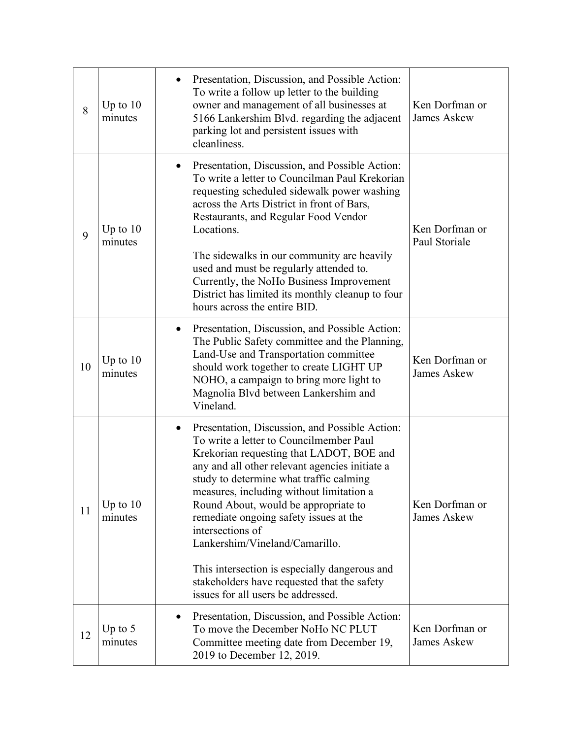| 8  | Up to $10$<br>minutes | Presentation, Discussion, and Possible Action:<br>To write a follow up letter to the building<br>owner and management of all businesses at<br>5166 Lankershim Blvd. regarding the adjacent<br>parking lot and persistent issues with<br>cleanliness.                                                                                                                                                                                                                                                                                                         | Ken Dorfman or<br><b>James Askew</b> |
|----|-----------------------|--------------------------------------------------------------------------------------------------------------------------------------------------------------------------------------------------------------------------------------------------------------------------------------------------------------------------------------------------------------------------------------------------------------------------------------------------------------------------------------------------------------------------------------------------------------|--------------------------------------|
| 9  | Up to $10$<br>minutes | Presentation, Discussion, and Possible Action:<br>To write a letter to Councilman Paul Krekorian<br>requesting scheduled sidewalk power washing<br>across the Arts District in front of Bars,<br>Restaurants, and Regular Food Vendor<br>Locations.<br>The sidewalks in our community are heavily<br>used and must be regularly attended to.<br>Currently, the NoHo Business Improvement<br>District has limited its monthly cleanup to four<br>hours across the entire BID.                                                                                 | Ken Dorfman or<br>Paul Storiale      |
| 10 | Up to $10$<br>minutes | Presentation, Discussion, and Possible Action:<br>The Public Safety committee and the Planning,<br>Land-Use and Transportation committee<br>should work together to create LIGHT UP<br>NOHO, a campaign to bring more light to<br>Magnolia Blvd between Lankershim and<br>Vineland.                                                                                                                                                                                                                                                                          | Ken Dorfman or<br><b>James Askew</b> |
| 11 | Up to $10$<br>minutes | Presentation, Discussion, and Possible Action:<br>To write a letter to Councilmember Paul<br>Krekorian requesting that LADOT, BOE and<br>any and all other relevant agencies initiate a<br>study to determine what traffic calming<br>measures, including without limitation a<br>Round About, would be appropriate to<br>remediate ongoing safety issues at the<br>intersections of<br>Lankershim/Vineland/Camarillo.<br>This intersection is especially dangerous and<br>stakeholders have requested that the safety<br>issues for all users be addressed. | Ken Dorfman or<br><b>James Askew</b> |
| 12 | Up to $5$<br>minutes  | Presentation, Discussion, and Possible Action:<br>$\bullet$<br>To move the December NoHo NC PLUT<br>Committee meeting date from December 19,<br>2019 to December 12, 2019.                                                                                                                                                                                                                                                                                                                                                                                   | Ken Dorfman or<br><b>James Askew</b> |